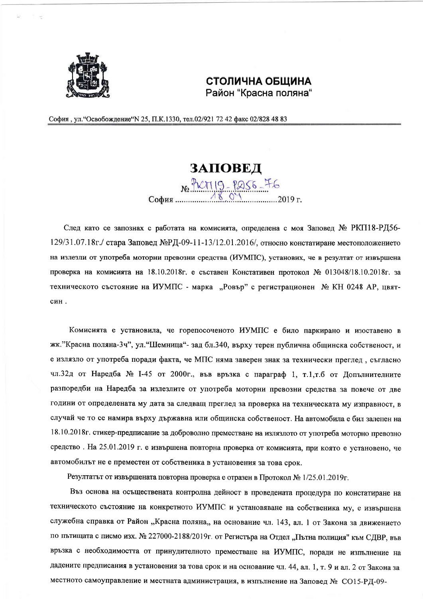

## СТОЛИЧНА ОБЩИНА Район "Красна поляна"

София, ул. "Освобождение" N 25, П.К. 1330, тел. 02/921 72 42 факс 02/828 48 83

## **3AHOBE** $\pi$ <sub>No</sub> PLATIO<sub>R</sub> София.

След като се запознах с работата на комисията, определена с моя Заповед № РКП18-РД56-129/31.07.18г./ стара Заповед №РД-09-11-13/12.01.2016/, относно констатиране местоположението на излезли от употреба моторни превозни средства (ИУМПС), установих, че в резултат от извършена проверка на комисията на 18.10.2018г. е съставен Констативен протокол № 013048/18.10.2018г. за техническото състояние на ИУМПС - марка "Ровър" с регистрационен № КН 0248 АР, цвятсин.

Комисията е установила, че горепосоченото ИУМПС е било паркирано и изоставено в жк. "Красна поляна-3ч", ул. "Шемница"- зад бл.340, върху терен публична общинска собственост, и е излязло от употреба поради факта, че МПС няма заверен знак за технически преглед, съгласно чл.32д от Наредба № 1-45 от 2000г., във връзка с параграф 1, т.1,т.б от Допълнителните разпоредби на Наредба за излезлите от употреба моторни превозни средства за повече от две години от определената му дата за следващ преглед за проверка на техническата му изправност, в случай че то се намира върху държавна или общинска собственост. На автомобила е бил залепен на 18.10.2018г. стикер-предписание за доброволно преместване на излязлото от употреба моторно превозно средство. На 25.01.2019 г. е извършена повторна проверка от комисията, при която е установено, че автомобилът не е преместен от собственика в установения за това срок.

Резултатът от извършената повторна проверка е отразен в Протокол № 1/25.01.2019г.

Въз основа на осъществената контролна дейност в проведената процедура по констатиране на техническото състояние на конкретното ИУМПС и установяване на собственика му, е извършена служебна справка от Район "Красна поляна,, на основание чл. 143, ал. 1 от Закона за движението по пътищата с писмо изх. № 227000-2188/2019г. от Регистъра на Отдел "Пътна полиция" към СДВР, във връзка с необходимостта от принудителното преместване на ИУМПС, поради не изпълнение на дадените предписания в установения за това срок и на основание чл. 44, ал. 1, т. 9 и ал. 2 от Закона за местното самоуправление и местната администрация, в изпълнение на Заповед № СО15-РД-09